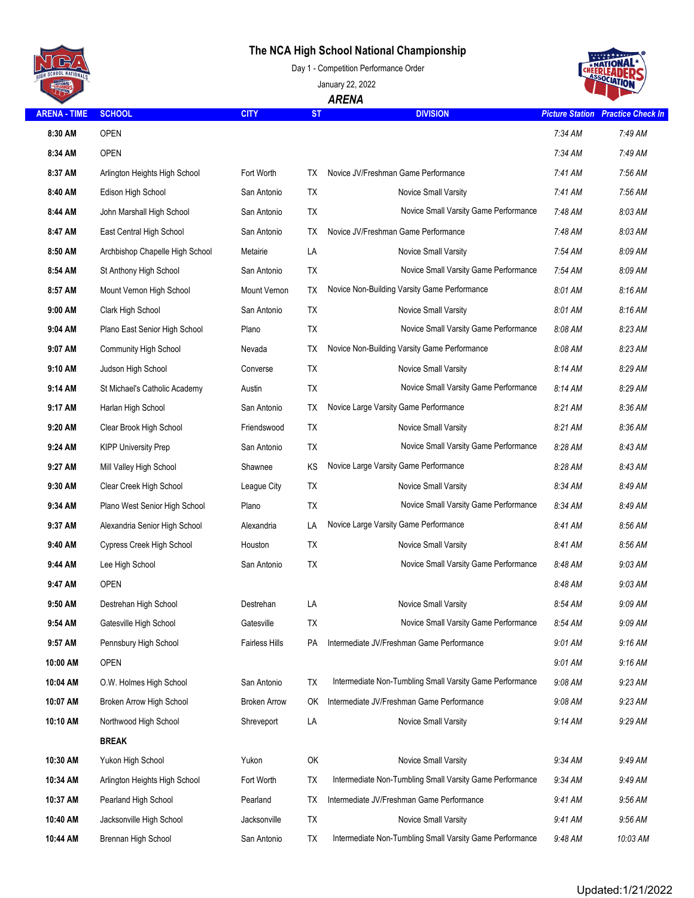## **The NCA High School National Championship**







| T Letter            |                                 |                     |           | <b>ARENA</b>                                             |                        |                          |
|---------------------|---------------------------------|---------------------|-----------|----------------------------------------------------------|------------------------|--------------------------|
| <b>ARENA - TIME</b> | <b>SCHOOL</b>                   | <b>CITY</b>         | <b>ST</b> | <b>DIVISION</b>                                          | <b>Picture Station</b> | <b>Practice Check In</b> |
| 8:30 AM             | <b>OPEN</b>                     |                     |           |                                                          | 7:34 AM                | 7:49 AM                  |
| 8:34 AM             | <b>OPEN</b>                     |                     |           |                                                          | 7:34 AM                | 7:49 AM                  |
| 8:37 AM             | Arlington Heights High School   | Fort Worth          | TX.       | Novice JV/Freshman Game Performance                      | 7:41 AM                | 7:56 AM                  |
| 8:40 AM             | Edison High School              | San Antonio         | TX        | <b>Novice Small Varsity</b>                              | 7:41 AM                | 7:56 AM                  |
| 8:44 AM             | John Marshall High School       | San Antonio         | TX        | Novice Small Varsity Game Performance                    | 7:48 AM                | 8:03 AM                  |
| 8:47 AM             | East Central High School        | San Antonio         | ТX        | Novice JV/Freshman Game Performance                      | 7:48 AM                | 8:03 AM                  |
| 8:50 AM             | Archbishop Chapelle High School | Metairie            | LA        | Novice Small Varsity                                     | 7:54 AM                | 8:09 AM                  |
| 8:54 AM             | St Anthony High School          | San Antonio         | <b>TX</b> | Novice Small Varsity Game Performance                    | 7:54 AM                | 8:09 AM                  |
| 8:57 AM             | Mount Vernon High School        | Mount Vernon        | TX        | Novice Non-Building Varsity Game Performance             | 8:01 AM                | 8:16 AM                  |
| 9:00 AM             | Clark High School               | San Antonio         | <b>TX</b> | Novice Small Varsity                                     | 8:01 AM                | 8:16 AM                  |
| 9:04 AM             | Plano East Senior High School   | Plano               | TX        | Novice Small Varsity Game Performance                    | 8:08 AM                | 8:23 AM                  |
| 9:07 AM             | <b>Community High School</b>    | Nevada              | TX        | Novice Non-Building Varsity Game Performance             | 8:08 AM                | 8:23 AM                  |
| 9:10 AM             | Judson High School              | Converse            | <b>TX</b> | Novice Small Varsity                                     | 8:14 AM                | 8:29 AM                  |
| 9:14 AM             | St Michael's Catholic Academy   | Austin              | <b>TX</b> | Novice Small Varsity Game Performance                    | 8:14 AM                | 8:29 AM                  |
| 9:17 AM             | Harlan High School              | San Antonio         | TX        | Novice Large Varsity Game Performance                    | 8:21 AM                | 8:36 AM                  |
| 9:20 AM             | Clear Brook High School         | Friendswood         | TX        | Novice Small Varsity                                     | 8:21 AM                | 8:36 AM                  |
| 9:24 AM             | <b>KIPP University Prep</b>     | San Antonio         | <b>TX</b> | Novice Small Varsity Game Performance                    | 8:28 AM                | 8:43 AM                  |
| 9:27 AM             | Mill Valley High School         | Shawnee             | ΚS        | Novice Large Varsity Game Performance                    | 8:28 AM                | 8:43 AM                  |
| 9:30 AM             | Clear Creek High School         | League City         | <b>TX</b> | Novice Small Varsity                                     | 8:34 AM                | 8:49 AM                  |
| 9:34 AM             | Plano West Senior High School   | Plano               | TX        | Novice Small Varsity Game Performance                    | 8:34 AM                | 8:49 AM                  |
| 9:37 AM             | Alexandria Senior High School   | Alexandria          | LA        | Novice Large Varsity Game Performance                    | 8:41 AM                | 8:56 AM                  |
| 9:40 AM             | Cypress Creek High School       | Houston             | TX        | Novice Small Varsity                                     | 8:41 AM                | 8:56 AM                  |
| 9:44 AM             | Lee High School                 | San Antonio         | TX        | Novice Small Varsity Game Performance                    | 8:48 AM                | 9:03 AM                  |
| 9:47 AM             | <b>OPEN</b>                     |                     |           |                                                          | 8:48 AM                | 9:03 AM                  |
| 9:50 AM             | Destrehan High School           | Destrehan           | LA        | Novice Small Varsity                                     | 8:54 AM                | 9:09 AM                  |
| 9:54 AM             | Gatesville High School          | Gatesville          | ТX        | Novice Small Varsity Game Performance                    | 8:54 AM                | 9:09 AM                  |
| 9:57 AM             | Pennsbury High School           | Fairless Hills      | PA        | Intermediate JV/Freshman Game Performance                | 9:01 AM                | 9:16 AM                  |
| 10:00 AM            | <b>OPEN</b>                     |                     |           |                                                          | 9:01 AM                | 9:16 AM                  |
| 10:04 AM            | O.W. Holmes High School         | San Antonio         | TX        | Intermediate Non-Tumbling Small Varsity Game Performance | 9:08 AM                | 9:23 AM                  |
| 10:07 AM            | Broken Arrow High School        | <b>Broken Arrow</b> | OK        | Intermediate JV/Freshman Game Performance                | 9:08 AM                | 9:23 AM                  |
| 10:10 AM            | Northwood High School           | Shreveport          | LA        | Novice Small Varsity                                     | 9:14 AM                | 9:29 AM                  |
|                     | <b>BREAK</b>                    |                     |           |                                                          |                        |                          |
| 10:30 AM            | Yukon High School               | Yukon               | OK        | Novice Small Varsity                                     | 9:34 AM                | 9:49 AM                  |
| 10:34 AM            | Arlington Heights High School   | Fort Worth          | TX        | Intermediate Non-Tumbling Small Varsity Game Performance | 9:34 AM                | 9:49 AM                  |
| 10:37 AM            | Pearland High School            | Pearland            | TX        | Intermediate JV/Freshman Game Performance                | 9:41 AM                | 9:56 AM                  |
| 10:40 AM            | Jacksonville High School        | Jacksonville        | TX        | Novice Small Varsity                                     | 9:41 AM                | 9:56 AM                  |
| 10:44 AM            | Brennan High School             | San Antonio         | TX        | Intermediate Non-Tumbling Small Varsity Game Performance | 9:48 AM                | 10:03 AM                 |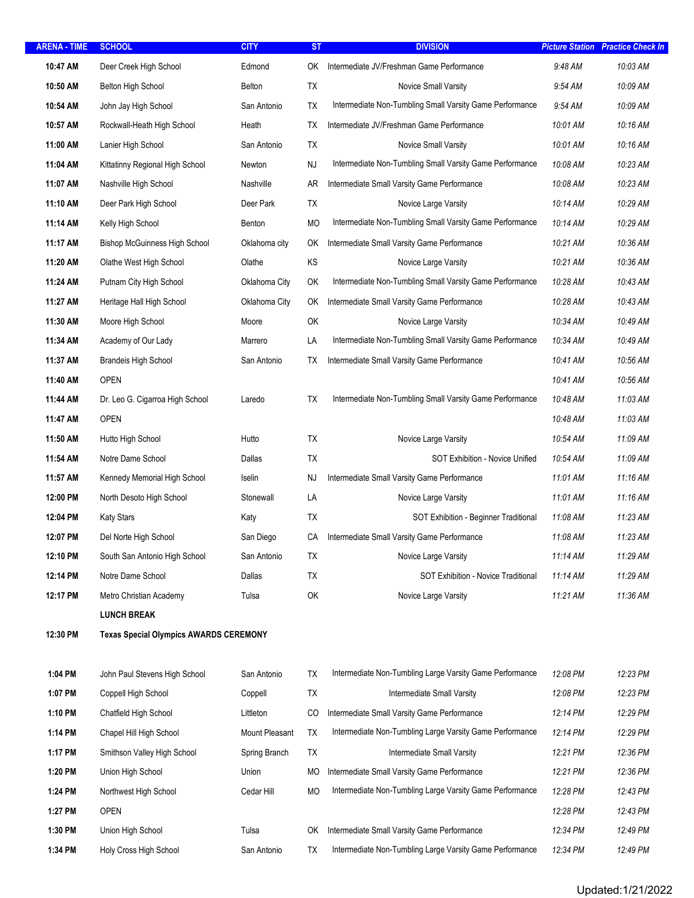| <b>ARENA - TIME</b> | <b>SCHOOL</b>                                 | <b>CITY</b>    | <b>ST</b> | <b>DIVISION</b>                                          | <b>Picture Station</b> | <b>Practice Check In</b> |
|---------------------|-----------------------------------------------|----------------|-----------|----------------------------------------------------------|------------------------|--------------------------|
| 10:47 AM            | Deer Creek High School                        | Edmond         | OK.       | Intermediate JV/Freshman Game Performance                | 9:48 AM                | 10:03 AM                 |
| 10:50 AM            | <b>Belton High School</b>                     | Belton         | TX        | Novice Small Varsity                                     | 9:54 AM                | 10:09 AM                 |
| 10:54 AM            | John Jay High School                          | San Antonio    | TX        | Intermediate Non-Tumbling Small Varsity Game Performance | 9:54 AM                | 10:09 AM                 |
| 10:57 AM            | Rockwall-Heath High School                    | Heath          | TX        | Intermediate JV/Freshman Game Performance                | 10:01 AM               | 10:16 AM                 |
| 11:00 AM            | Lanier High School                            | San Antonio    | ТX        | Novice Small Varsity                                     | 10:01 AM               | 10:16 AM                 |
| 11:04 AM            | Kittatinny Regional High School               | Newton         | <b>NJ</b> | Intermediate Non-Tumbling Small Varsity Game Performance | 10:08 AM               | 10:23 AM                 |
| 11:07 AM            | Nashville High School                         | Nashville      | AR        | Intermediate Small Varsity Game Performance              | 10:08 AM               | 10:23 AM                 |
| 11:10 AM            | Deer Park High School                         | Deer Park      | TX        | Novice Large Varsity                                     | 10:14 AM               | 10:29 AM                 |
| 11:14 AM            | Kelly High School                             | Benton         | MO        | Intermediate Non-Tumbling Small Varsity Game Performance | 10:14 AM               | 10:29 AM                 |
| 11:17 AM            | <b>Bishop McGuinness High School</b>          | Oklahoma city  | OK        | Intermediate Small Varsity Game Performance              | 10:21 AM               | 10:36 AM                 |
| 11:20 AM            | Olathe West High School                       | Olathe         | KS        | Novice Large Varsity                                     | 10:21 AM               | 10:36 AM                 |
| 11:24 AM            | Putnam City High School                       | Oklahoma City  | OK        | Intermediate Non-Tumbling Small Varsity Game Performance | 10:28 AM               | 10:43 AM                 |
| 11:27 AM            | Heritage Hall High School                     | Oklahoma City  | OK        | Intermediate Small Varsity Game Performance              | 10:28 AM               | 10:43 AM                 |
| 11:30 AM            | Moore High School                             | Moore          | OK        | Novice Large Varsity                                     | 10:34 AM               | 10:49 AM                 |
| 11:34 AM            | Academy of Our Lady                           | Marrero        | LA        | Intermediate Non-Tumbling Small Varsity Game Performance | 10:34 AM               | 10:49 AM                 |
| 11:37 AM            | <b>Brandeis High School</b>                   | San Antonio    | ТX        | Intermediate Small Varsity Game Performance              | 10:41 AM               | 10:56 AM                 |
| 11:40 AM            | <b>OPEN</b>                                   |                |           |                                                          | 10:41 AM               | 10:56 AM                 |
| 11:44 AM            | Dr. Leo G. Cigarroa High School               | Laredo         | <b>TX</b> | Intermediate Non-Tumbling Small Varsity Game Performance | 10:48 AM               | 11:03 AM                 |
| 11:47 AM            | <b>OPEN</b>                                   |                |           |                                                          | 10:48 AM               | 11:03 AM                 |
| 11:50 AM            | Hutto High School                             | Hutto          | <b>TX</b> | Novice Large Varsity                                     | 10:54 AM               | 11:09 AM                 |
| 11:54 AM            | Notre Dame School                             | Dallas         | TX        | SOT Exhibition - Novice Unified                          | 10:54 AM               | 11:09 AM                 |
| 11:57 AM            | Kennedy Memorial High School                  | Iselin         | <b>NJ</b> | Intermediate Small Varsity Game Performance              | 11:01 AM               | 11:16 AM                 |
| 12:00 PM            | North Desoto High School                      | Stonewall      | LA        | Novice Large Varsity                                     | 11:01 AM               | 11:16 AM                 |
| 12:04 PM            | <b>Katy Stars</b>                             | Katy           | TX        | SOT Exhibition - Beginner Traditional                    | 11:08 AM               | 11:23 AM                 |
| 12:07 PM            | Del Norte High School                         | San Diego      | СA        | Intermediate Small Varsity Game Performance              | 11:08 AM               | 11:23 AM                 |
| 12:10 PM            | South San Antonio High School                 | San Antonio    | TX        | Novice Large Varsity                                     | 11:14 AM               | 11:29 AM                 |
| 12:14 PM            | Notre Dame School                             | Dallas         | TX        | SOT Exhibition - Novice Traditional                      | 11:14 AM               | 11:29 AM                 |
| 12:17 PM            | Metro Christian Academy                       | Tulsa          | OK        | Novice Large Varsity                                     | 11:21 AM               | 11:36 AM                 |
|                     | <b>LUNCH BREAK</b>                            |                |           |                                                          |                        |                          |
| 12:30 PM            | <b>Texas Special Olympics AWARDS CEREMONY</b> |                |           |                                                          |                        |                          |
| 1:04 PM             | John Paul Stevens High School                 | San Antonio    | TX        | Intermediate Non-Tumbling Large Varsity Game Performance | 12:08 PM               | 12:23 PM                 |
| 1:07 PM             | Coppell High School                           | Coppell        | TX        | Intermediate Small Varsity                               | 12:08 PM               | 12:23 PM                 |
| 1:10 PM             | Chatfield High School                         | Littleton      | CO        | Intermediate Small Varsity Game Performance              | 12:14 PM               | 12:29 PM                 |
| 1:14 PM             | Chapel Hill High School                       | Mount Pleasant | TX        | Intermediate Non-Tumbling Large Varsity Game Performance | 12:14 PM               | 12:29 PM                 |
| 1:17 PM             | Smithson Valley High School                   | Spring Branch  | TX        | Intermediate Small Varsity                               | 12:21 PM               | 12:36 PM                 |
| 1:20 PM             | Union High School                             | Union          | МO        | Intermediate Small Varsity Game Performance              | 12:21 PM               | 12:36 PM                 |
| 1:24 PM             | Northwest High School                         | Cedar Hill     | <b>MO</b> | Intermediate Non-Tumbling Large Varsity Game Performance | 12:28 PM               | 12:43 PM                 |
| 1:27 PM             | <b>OPEN</b>                                   |                |           |                                                          | 12:28 PM               | 12:43 PM                 |
| 1:30 PM             | Union High School                             | Tulsa          | OK        | Intermediate Small Varsity Game Performance              | 12:34 PM               | 12:49 PM                 |
| 1:34 PM             | Holy Cross High School                        | San Antonio    | TX        | Intermediate Non-Tumbling Large Varsity Game Performance | 12:34 PM               | 12:49 PM                 |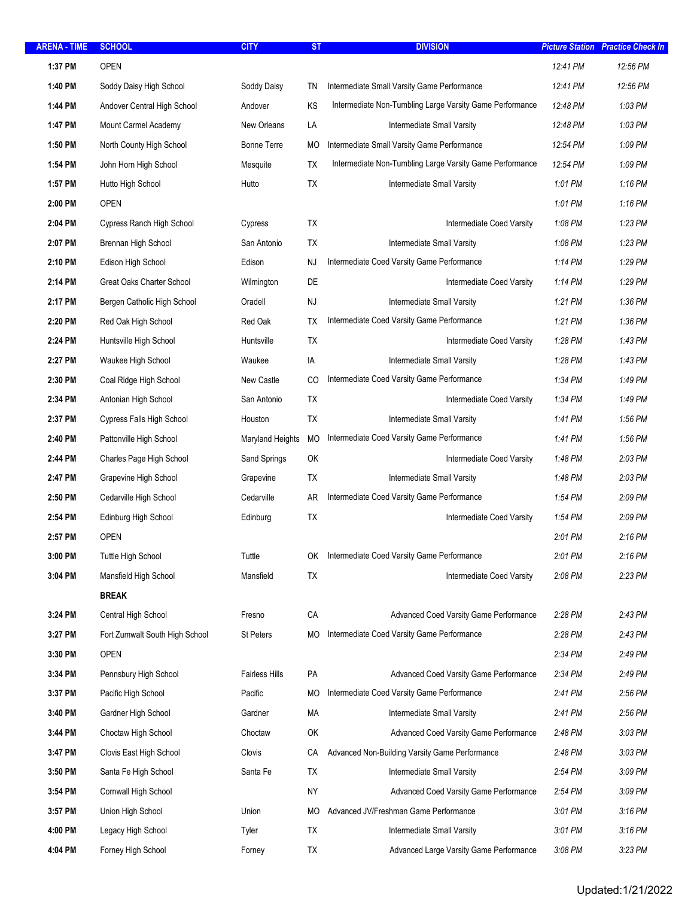| <b>ARENA - TIME</b> | <b>SCHOOL</b>                  | <b>CITY</b>           | <b>ST</b> | <b>DIVISION</b>                                          | <b>Picture Station</b> | <b>Practice Check In</b> |
|---------------------|--------------------------------|-----------------------|-----------|----------------------------------------------------------|------------------------|--------------------------|
| 1:37 PM             | OPEN                           |                       |           |                                                          | 12:41 PM               | 12:56 PM                 |
| 1:40 PM             | Soddy Daisy High School        | Soddy Daisy           | TN        | Intermediate Small Varsity Game Performance              | 12:41 PM               | 12:56 PM                 |
| 1:44 PM             | Andover Central High School    | Andover               | KS        | Intermediate Non-Tumbling Large Varsity Game Performance | 12:48 PM               | 1:03 PM                  |
| 1:47 PM             | Mount Carmel Academy           | New Orleans           | LA        | Intermediate Small Varsity                               | 12:48 PM               | 1:03 PM                  |
| 1:50 PM             | North County High School       | <b>Bonne Terre</b>    | МO        | Intermediate Small Varsity Game Performance              | 12:54 PM               | 1:09 PM                  |
| 1:54 PM             | John Horn High School          | Mesquite              | TX        | Intermediate Non-Tumbling Large Varsity Game Performance | 12:54 PM               | 1:09 PM                  |
| 1:57 PM             | Hutto High School              | Hutto                 | TX        | Intermediate Small Varsity                               | 1:01 PM                | $1:16$ PM                |
| 2:00 PM             | <b>OPEN</b>                    |                       |           |                                                          | 1:01 PM                | 1:16 PM                  |
| 2:04 PM             | Cypress Ranch High School      | Cypress               | TX        | Intermediate Coed Varsity                                | 1:08 PM                | 1:23 PM                  |
| 2:07 PM             | Brennan High School            | San Antonio           | TX        | Intermediate Small Varsity                               | 1:08 PM                | 1:23 PM                  |
| 2:10 PM             | Edison High School             | Edison                | NJ        | Intermediate Coed Varsity Game Performance               | 1:14 PM                | 1:29 PM                  |
| 2:14 PM             | Great Oaks Charter School      | Wilmington            | DE        | Intermediate Coed Varsity                                | 1:14 PM                | 1:29 PM                  |
| 2:17 PM             | Bergen Catholic High School    | Oradell               | <b>NJ</b> | Intermediate Small Varsity                               | 1:21 PM                | 1:36 PM                  |
| 2:20 PM             | Red Oak High School            | Red Oak               | TX        | Intermediate Coed Varsity Game Performance               | 1:21 PM                | 1:36 PM                  |
| 2:24 PM             | Huntsville High School         | Huntsville            | TX        | Intermediate Coed Varsity                                | 1:28 PM                | 1:43 PM                  |
| 2:27 PM             | Waukee High School             | Waukee                | IA        | Intermediate Small Varsity                               | 1:28 PM                | 1:43 PM                  |
| 2:30 PM             | Coal Ridge High School         | New Castle            | CO        | Intermediate Coed Varsity Game Performance               | 1:34 PM                | 1:49 PM                  |
| 2:34 PM             | Antonian High School           | San Antonio           | TX        | Intermediate Coed Varsity                                | 1:34 PM                | 1:49 PM                  |
| 2:37 PM             | Cypress Falls High School      | Houston               | <b>TX</b> | Intermediate Small Varsity                               | 1:41 PM                | 1:56 PM                  |
| 2:40 PM             | Pattonville High School        | Maryland Heights      | MO        | Intermediate Coed Varsity Game Performance               | 1:41 PM                | 1:56 PM                  |
| 2:44 PM             | Charles Page High School       | Sand Springs          | OK        | <b>Intermediate Coed Varsity</b>                         | 1:48 PM                | 2:03 PM                  |
| 2:47 PM             | Grapevine High School          | Grapevine             | TX        | Intermediate Small Varsity                               | 1:48 PM                | 2:03 PM                  |
| 2:50 PM             | Cedarville High School         | Cedarville            | AR.       | Intermediate Coed Varsity Game Performance               | 1:54 PM                | 2:09 PM                  |
| 2:54 PM             | Edinburg High School           | Edinburg              | TX        | Intermediate Coed Varsity                                | 1:54 PM                | 2:09 PM                  |
| 2:57 PM             | <b>OPEN</b>                    |                       |           |                                                          | 2:01 PM                | 2:16 PM                  |
| 3:00 PM             | Tuttle High School             | Tuttle                | OK.       | Intermediate Coed Varsity Game Performance               | 2:01 PM                | 2:16 PM                  |
| 3:04 PM             | Mansfield High School          | Mansfield             | TX        | Intermediate Coed Varsity                                | 2:08 PM                | 2:23 PM                  |
|                     | <b>BREAK</b>                   |                       |           |                                                          |                        |                          |
| 3:24 PM             | Central High School            | Fresno                | CA        | Advanced Coed Varsity Game Performance                   | 2:28 PM                | 2:43 PM                  |
| 3:27 PM             | Fort Zumwalt South High School | St Peters             | МO        | Intermediate Coed Varsity Game Performance               | 2:28 PM                | 2:43 PM                  |
| 3:30 PM             | <b>OPEN</b>                    |                       |           |                                                          | 2:34 PM                | 2:49 PM                  |
| 3:34 PM             | Pennsbury High School          | <b>Fairless Hills</b> | PA        | Advanced Coed Varsity Game Performance                   | 2:34 PM                | 2:49 PM                  |
| 3:37 PM             | Pacific High School            | Pacific               | MO        | Intermediate Coed Varsity Game Performance               | 2:41 PM                | 2:56 PM                  |
| 3:40 PM             | Gardner High School            | Gardner               | МA        | Intermediate Small Varsity                               | 2:41 PM                | 2:56 PM                  |
| 3:44 PM             | Choctaw High School            | Choctaw               | OK        | Advanced Coed Varsity Game Performance                   | 2:48 PM                | 3:03 PM                  |
| 3:47 PM             | Clovis East High School        | Clovis                | CA        | Advanced Non-Building Varsity Game Performance           | 2:48 PM                | 3:03 PM                  |
| 3:50 PM             | Santa Fe High School           | Santa Fe              | TX        | Intermediate Small Varsity                               | 2:54 PM                | 3:09 PM                  |
| 3:54 PM             | Cornwall High School           |                       | <b>NY</b> | Advanced Coed Varsity Game Performance                   | 2:54 PM                | 3:09 PM                  |
| 3:57 PM             | Union High School              | Union                 | МO        | Advanced JV/Freshman Game Performance                    | 3:01 PM                | 3:16 PM                  |
| 4:00 PM             | Legacy High School             | Tyler                 | TX        | Intermediate Small Varsity                               | 3:01 PM                | 3:16 PM                  |
| 4:04 PM             | Forney High School             | Forney                | TX        | Advanced Large Varsity Game Performance                  | 3:08 PM                | 3:23 PM                  |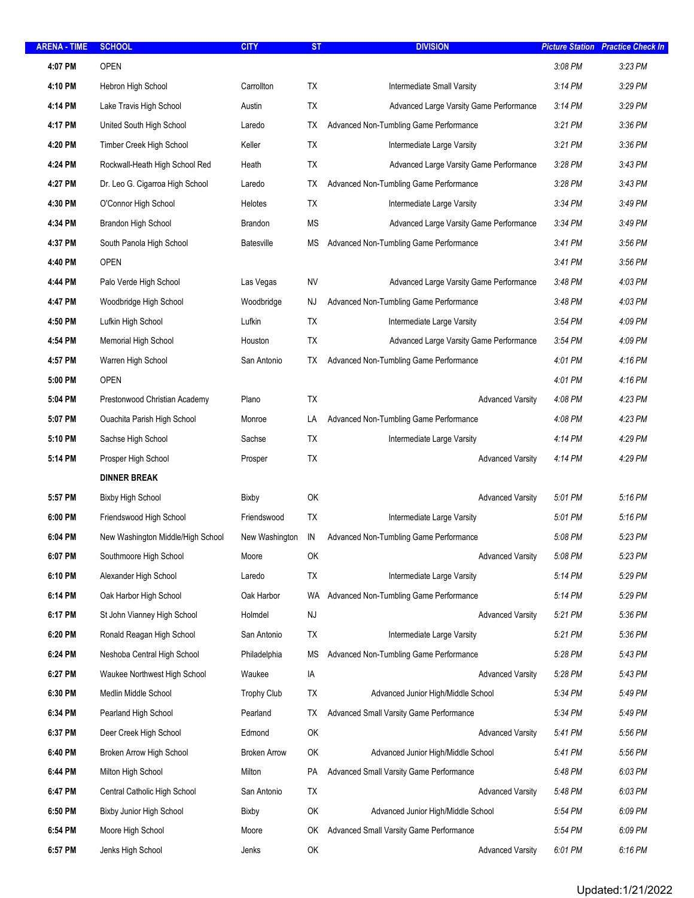| <b>ARENA - TIME</b> | <b>SCHOOL</b>                     | <b>CITY</b>         | <b>ST</b> | <b>DIVISION</b>                         | <b>Picture Station</b> | <b>Practice Check In</b> |
|---------------------|-----------------------------------|---------------------|-----------|-----------------------------------------|------------------------|--------------------------|
| 4:07 PM             | <b>OPEN</b>                       |                     |           |                                         | 3:08 PM                | 3:23 PM                  |
| 4:10 PM             | Hebron High School                | Carrollton          | TX        | Intermediate Small Varsity              | 3:14 PM                | 3:29 PM                  |
| 4:14 PM             | Lake Travis High School           | Austin              | <b>TX</b> | Advanced Large Varsity Game Performance | 3:14 PM                | 3:29 PM                  |
| 4:17 PM             | United South High School          | Laredo              | ТX        | Advanced Non-Tumbling Game Performance  | 3:21 PM                | 3:36 PM                  |
| 4:20 PM             | Timber Creek High School          | Keller              | TX        | Intermediate Large Varsity              | 3:21 PM                | 3:36 PM                  |
| 4:24 PM             | Rockwall-Heath High School Red    | Heath               | TX        | Advanced Large Varsity Game Performance | 3:28 PM                | 3:43 PM                  |
| 4:27 PM             | Dr. Leo G. Cigarroa High School   | Laredo              | TX        | Advanced Non-Tumbling Game Performance  | $3:28$ PM              | 3:43 PM                  |
| 4:30 PM             | O'Connor High School              | Helotes             | ТX        | Intermediate Large Varsity              | 3:34 PM                | 3:49 PM                  |
| 4:34 PM             | Brandon High School               | Brandon             | ΜS        | Advanced Large Varsity Game Performance | 3:34 PM                | 3:49 PM                  |
| 4:37 PM             | South Panola High School          | <b>Batesville</b>   | ΜS        | Advanced Non-Tumbling Game Performance  | 3:41 PM                | 3:56 PM                  |
| 4:40 PM             | <b>OPEN</b>                       |                     |           |                                         | 3:41 PM                | 3:56 PM                  |
| 4:44 PM             | Palo Verde High School            | Las Vegas           | <b>NV</b> | Advanced Large Varsity Game Performance | 3:48 PM                | 4:03 PM                  |
| 4:47 PM             | Woodbridge High School            | Woodbridge          | NJ        | Advanced Non-Tumbling Game Performance  | 3:48 PM                | 4:03 PM                  |
| 4:50 PM             | Lufkin High School                | Lufkin              | <b>TX</b> | Intermediate Large Varsity              | 3:54 PM                | 4:09 PM                  |
| 4:54 PM             | Memorial High School              | Houston             | TX        | Advanced Large Varsity Game Performance | 3:54 PM                | 4:09 PM                  |
| 4:57 PM             | Warren High School                | San Antonio         | ТX        | Advanced Non-Tumbling Game Performance  | 4:01 PM                | 4:16 PM                  |
| 5:00 PM             | <b>OPEN</b>                       |                     |           |                                         | 4:01 PM                | 4:16 PM                  |
| 5:04 PM             | Prestonwood Christian Academy     | Plano               | TX        | <b>Advanced Varsity</b>                 | 4:08 PM                | 4:23 PM                  |
| 5:07 PM             | Ouachita Parish High School       | Monroe              | LA        | Advanced Non-Tumbling Game Performance  | 4:08 PM                | 4:23 PM                  |
| 5:10 PM             | Sachse High School                | Sachse              | TX        | Intermediate Large Varsity              | 4:14 PM                | 4:29 PM                  |
| 5:14 PM             | Prosper High School               | Prosper             | TX        | <b>Advanced Varsity</b>                 | 4:14 PM                | 4:29 PM                  |
|                     | <b>DINNER BREAK</b>               |                     |           |                                         |                        |                          |
| 5:57 PM             | <b>Bixby High School</b>          | Bixby               | OK        | <b>Advanced Varsity</b>                 | 5:01 PM                | 5:16 PM                  |
| 6:00 PM             | Friendswood High School           | Friendswood         | <b>TX</b> | Intermediate Large Varsity              | 5:01 PM                | 5:16 PM                  |
| 6:04 PM             | New Washington Middle/High School | New Washington      | IN        | Advanced Non-Tumbling Game Performance  | 5:08 PM                | 5:23 PM                  |
| 6:07 PM             | Southmoore High School            | Moore               | OK        | <b>Advanced Varsity</b>                 | 5:08 PM                | 5:23 PM                  |
| 6:10 PM             | Alexander High School             | Laredo              | TX        | Intermediate Large Varsity              | 5:14 PM                | 5:29 PM                  |
| 6:14 PM             | Oak Harbor High School            | Oak Harbor          | WA        | Advanced Non-Tumbling Game Performance  | 5:14 PM                | 5:29 PM                  |
| 6:17 PM             | St John Vianney High School       | Holmdel             | NJ        | <b>Advanced Varsity</b>                 | 5:21 PM                | 5:36 PM                  |
| 6:20 PM             | Ronald Reagan High School         | San Antonio         | TX        | Intermediate Large Varsity              | 5:21 PM                | 5:36 PM                  |
| 6:24 PM             | Neshoba Central High School       | Philadelphia        | ΜS        | Advanced Non-Tumbling Game Performance  | 5:28 PM                | 5:43 PM                  |
| 6:27 PM             | Waukee Northwest High School      | Waukee              | IA        | <b>Advanced Varsity</b>                 | 5:28 PM                | 5:43 PM                  |
| 6:30 PM             | Medlin Middle School              | <b>Trophy Club</b>  | TX        | Advanced Junior High/Middle School      | 5:34 PM                | 5:49 PM                  |
| 6:34 PM             | Pearland High School              | Pearland            | ТX        | Advanced Small Varsity Game Performance | 5:34 PM                | 5:49 PM                  |
| 6:37 PM             | Deer Creek High School            | Edmond              | OK        | <b>Advanced Varsity</b>                 | 5:41 PM                | 5:56 PM                  |
| 6:40 PM             | Broken Arrow High School          | <b>Broken Arrow</b> | OK        | Advanced Junior High/Middle School      | 5:41 PM                | 5:56 PM                  |
| 6:44 PM             | Milton High School                | Milton              | PA        | Advanced Small Varsity Game Performance | 5:48 PM                | 6:03 PM                  |
| 6:47 PM             | Central Catholic High School      | San Antonio         | TX        | <b>Advanced Varsity</b>                 | 5:48 PM                | 6:03 PM                  |
| 6:50 PM             | Bixby Junior High School          | Bixby               | OK        | Advanced Junior High/Middle School      | 5:54 PM                | 6:09 PM                  |
| 6:54 PM             | Moore High School                 | Moore               | OK        | Advanced Small Varsity Game Performance | 5:54 PM                | 6:09 PM                  |
| 6:57 PM             | Jenks High School                 | Jenks               | OK        | <b>Advanced Varsity</b>                 | 6:01 PM                | 6:16 PM                  |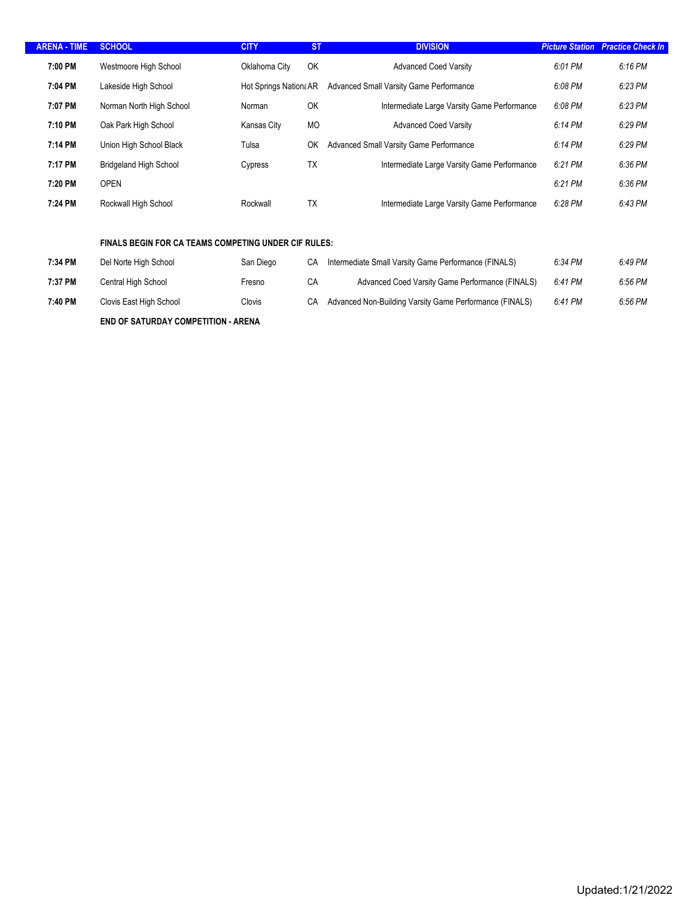| <b>ARENA - TIME</b> | <b>SCHOOL</b>                 | <b>CITY</b>            | <b>ST</b> | <b>DIVISION</b>                             | <b>Picture Station</b> | <b>Practice Check In</b> |
|---------------------|-------------------------------|------------------------|-----------|---------------------------------------------|------------------------|--------------------------|
| 7:00 PM             | Westmoore High School         | Oklahoma City          | <b>OK</b> | <b>Advanced Coed Varsity</b>                | 6:01 PM                | 6:16 PM                  |
| 7:04 PM             | Lakeside High School          | Hot Springs Nation: AR |           | Advanced Small Varsity Game Performance     | 6:08 PM                | 6:23 PM                  |
| 7:07 PM             | Norman North High School      | Norman                 | <b>OK</b> | Intermediate Large Varsity Game Performance | 6:08 PM                | 6:23 PM                  |
| 7:10 PM             | Oak Park High School          | Kansas City            | <b>MO</b> | <b>Advanced Coed Varsity</b>                | 6:14 PM                | 6:29 PM                  |
| 7:14 PM             | Union High School Black       | Tulsa                  | OK        | Advanced Small Varsity Game Performance     | 6:14 PM                | 6:29 PM                  |
| 7:17 PM             | <b>Bridgeland High School</b> | Cypress                | <b>TX</b> | Intermediate Large Varsity Game Performance | 6:21 PM                | 6:36 PM                  |
| 7:20 PM             | <b>OPEN</b>                   |                        |           |                                             | 6:21 PM                | 6:36 PM                  |
| 7:24 PM             | Rockwall High School          | Rockwall               | <b>TX</b> | Intermediate Large Varsity Game Performance | 6:28 PM                | 6:43 PM                  |
|                     |                               |                        |           |                                             |                        |                          |

### *FINALS BEGIN FOR CA TEAMS COMPETING UNDER CIF RULES:*

| 7:34 PM | Del Norte High School   | San Diego | СA | Intermediate Small Varsity Game Performance (FINALS)    | 6:34 PM | 6:49 PM |
|---------|-------------------------|-----------|----|---------------------------------------------------------|---------|---------|
| 7:37 PM | Central High School     | Fresno    | СA | Advanced Coed Varsity Game Performance (FINALS)         | 6:41 PM | 6:56 PM |
| 7:40 PM | Clovis East High School | Clovis    | СA | Advanced Non-Building Varsity Game Performance (FINALS) | 6:41 PM | 6:56 PM |
|         |                         |           |    |                                                         |         |         |

 $F/N$  **END OF SATURDAY COMPETITION - ARENA**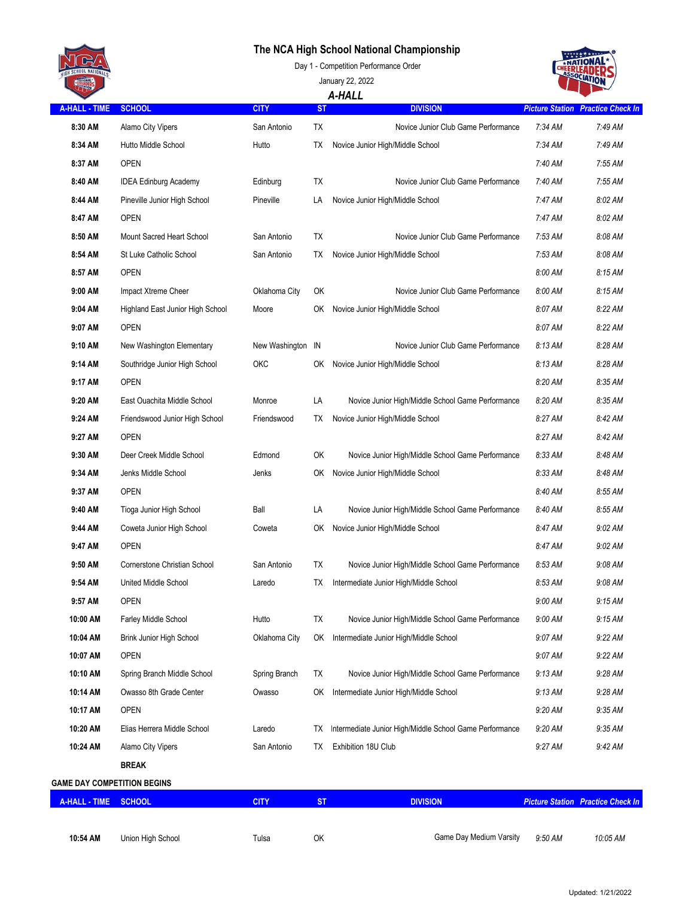## **The NCA High School National Championship**



January 22, 2022 *A-HALL*

# **TIONA**

| <b>A-HALL - TIME</b>               | <b>SCHOOL</b>                    | <b>CITY</b>       | <b>ST</b> | ______<br><b>DIVISION</b>                               |           | <b>Picture Station Practice Check In</b> |
|------------------------------------|----------------------------------|-------------------|-----------|---------------------------------------------------------|-----------|------------------------------------------|
| 8:30 AM                            | Alamo City Vipers                | San Antonio       | TX        | Novice Junior Club Game Performance                     | $7:34$ AM | 7:49 AM                                  |
| 8:34 AM                            | Hutto Middle School              | Hutto             | TХ        | Novice Junior High/Middle School                        | 7:34 AM   | 7:49 AM                                  |
| 8:37 AM                            | <b>OPEN</b>                      |                   |           |                                                         | 7:40 AM   | 7:55 AM                                  |
| 8:40 AM                            | <b>IDEA Edinburg Academy</b>     | Edinburg          | TX        | Novice Junior Club Game Performance                     | 7:40 AM   | 7:55 AM                                  |
| 8:44 AM                            | Pineville Junior High School     | Pineville         | LA        | Novice Junior High/Middle School                        | 7:47 AM   | 8:02 AM                                  |
| 8:47 AM                            | <b>OPEN</b>                      |                   |           |                                                         | $7:47$ AM | 8:02 AM                                  |
| 8:50 AM                            | Mount Sacred Heart School        | San Antonio       | TX        | Novice Junior Club Game Performance                     | 7:53 AM   | 8:08 AM                                  |
| 8:54 AM                            | St Luke Catholic School          | San Antonio       | TХ        | Novice Junior High/Middle School                        | 7:53 AM   | 8:08 AM                                  |
| 8:57 AM                            | <b>OPEN</b>                      |                   |           |                                                         | 8:00 AM   | $8:15$ AM                                |
| 9:00 AM                            | Impact Xtreme Cheer              | Oklahoma City     | OK        | Novice Junior Club Game Performance                     | 8:00 AM   | 8:15AM                                   |
| 9:04 AM                            | Highland East Junior High School | Moore             | OK        | Novice Junior High/Middle School                        | 8:07 AM   | 8:22 AM                                  |
| 9:07 AM                            | <b>OPEN</b>                      |                   |           |                                                         | 8:07 AM   | 8:22 AM                                  |
| 9:10 AM                            | New Washington Elementary        | New Washington IN |           | Novice Junior Club Game Performance                     | 8:13 AM   | 8:28 AM                                  |
| 9:14 AM                            | Southridge Junior High School    | ОКС               | 0K        | Novice Junior High/Middle School                        | 8:13 AM   | 8:28 AM                                  |
| 9:17 AM                            | <b>OPEN</b>                      |                   |           |                                                         | 8:20 AM   | 8:35 AM                                  |
| 9:20 AM                            | East Ouachita Middle School      | Monroe            | LA        | Novice Junior High/Middle School Game Performance       | 8:20 AM   | 8:35 AM                                  |
| 9:24 AM                            | Friendswood Junior High School   | Friendswood       | TХ        | Novice Junior High/Middle School                        | 8:27 AM   | 8:42 AM                                  |
| 9:27 AM                            | <b>OPEN</b>                      |                   |           |                                                         | 8:27 AM   | 8:42 AM                                  |
| 9:30 AM                            | Deer Creek Middle School         | Edmond            | OK        | Novice Junior High/Middle School Game Performance       | 8:33 AM   | 8:48 AM                                  |
| 9:34 AM                            | Jenks Middle School              | Jenks             | ОK        | Novice Junior High/Middle School                        | 8:33 AM   | 8:48 AM                                  |
| 9:37 AM                            | <b>OPEN</b>                      |                   |           |                                                         | 8:40 AM   | 8:55 AM                                  |
| 9:40 AM                            | Tioga Junior High School         | Ball              | LA        | Novice Junior High/Middle School Game Performance       | 8:40 AM   | 8:55 AM                                  |
| 9:44 AM                            | Coweta Junior High School        | Coweta            | ОK        | Novice Junior High/Middle School                        | 8:47 AM   | $9:02$ AM                                |
| 9:47 AM                            | <b>OPEN</b>                      |                   |           |                                                         | 8:47 AM   | $9:02$ AM                                |
| 9:50 AM                            | Cornerstone Christian School     | San Antonio       | TX        | Novice Junior High/Middle School Game Performance       | 8:53 AM   | 9:08 AM                                  |
| 9:54 AM                            | <b>United Middle School</b>      | Laredo            | ТX        | Intermediate Junior High/Middle School                  | 8:53 AM   | $9:08$ AM                                |
| 9:57 AM                            | <b>OPEN</b>                      |                   |           |                                                         | $9:00$ AM | $9:15$ AM                                |
| 10:00 AM                           | <b>Farley Middle School</b>      | Hutto             | TX        | Novice Junior High/Middle School Game Performance       | 9:00 AM   | 9:15 AM                                  |
| 10:04 AM                           | Brink Junior High School         | Oklahoma City     | OK        | Intermediate Junior High/Middle School                  | 9:07 AM   | 9:22 AM                                  |
| 10:07 AM                           | <b>OPEN</b>                      |                   |           |                                                         | 9:07 AM   | 9:22 AM                                  |
| 10:10 AM                           | Spring Branch Middle School      | Spring Branch     | TX        | Novice Junior High/Middle School Game Performance       | $9:13$ AM | 9:28 AM                                  |
| 10:14 AM                           | Owasso 8th Grade Center          | Owasso            | OK        | Intermediate Junior High/Middle School                  | $9:13$ AM | 9:28 AM                                  |
| 10:17 AM                           | <b>OPEN</b>                      |                   |           |                                                         | 9:20 AM   | 9:35 AM                                  |
| 10:20 AM                           | Elias Herrera Middle School      | Laredo            | TХ        | Intermediate Junior High/Middle School Game Performance | $9:20$ AM | $9:35$ AM                                |
| 10:24 AM                           | Alamo City Vipers                | San Antonio       | ТX        | Exhibition 18U Club                                     | 9:27 AM   | 9:42 AM                                  |
|                                    | <b>BREAK</b>                     |                   |           |                                                         |           |                                          |
| <b>GAME DAY COMPETITION BEGINS</b> |                                  |                   |           |                                                         |           |                                          |
| A-HALL - TIME                      | <b>SCHOOL</b>                    | <b>CITY</b>       | <b>ST</b> | <b>DIVISION</b>                                         |           | <b>Picture Station Practice Check In</b> |
|                                    |                                  |                   |           |                                                         |           |                                          |
| 10:54 AM                           | Union High School                | Tulsa             | OK        | Game Day Medium Varsity                                 | 9:50 AM   | 10:05 AM                                 |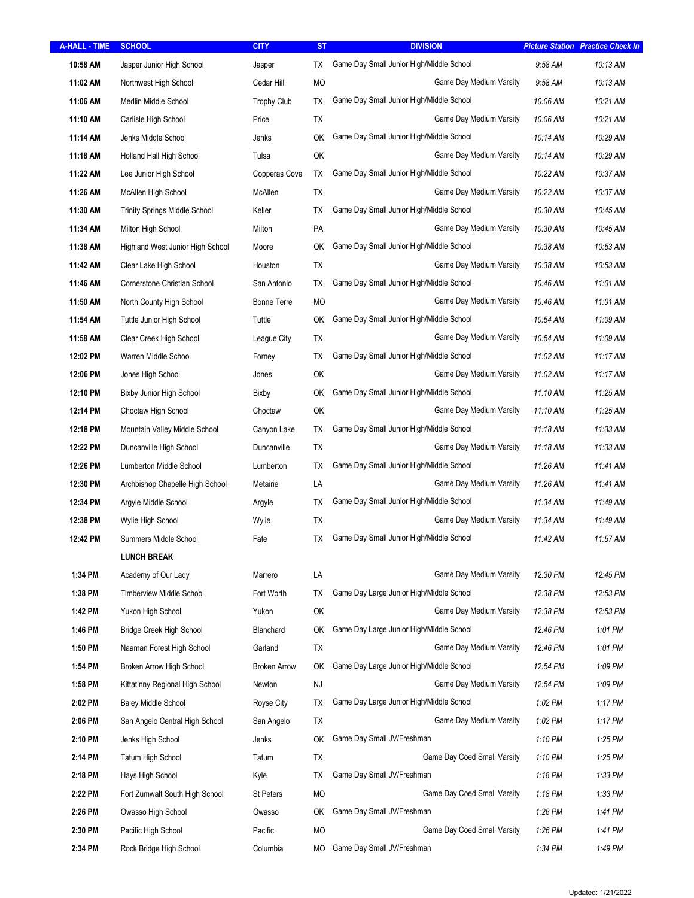| <b>A-HALL - TIME</b> | <b>SCHOOL</b>                        | <b>CITY</b>         | <b>ST</b>              | <b>DIVISION</b>                          |                   | <b>Picture Station Practice Check In</b> |
|----------------------|--------------------------------------|---------------------|------------------------|------------------------------------------|-------------------|------------------------------------------|
| 10:58 AM             | Jasper Junior High School            | Jasper              | TX                     | Game Day Small Junior High/Middle School | $9:58$ AM         | 10:13 AM                                 |
| 11:02 AM             | Northwest High School                | Cedar Hill          | МO                     | Game Day Medium Varsity                  | $9:58 \text{ AM}$ | 10:13 AM                                 |
| 11:06 AM             | Medlin Middle School                 | <b>Trophy Club</b>  | TX                     | Game Day Small Junior High/Middle School | 10:06 AM          | 10:21 AM                                 |
| 11:10 AM             | Carlisle High School                 | Price               | TX                     | Game Day Medium Varsity                  | 10:06 AM          | 10:21 AM                                 |
| 11:14 AM             | Jenks Middle School                  | Jenks               | OK                     | Game Day Small Junior High/Middle School | 10:14 AM          | 10:29 AM                                 |
| 11:18 AM             | Holland Hall High School             | Tulsa               | OK                     | Game Day Medium Varsity                  | 10:14 AM          | 10:29 AM                                 |
| 11:22 AM             | Lee Junior High School               | Copperas Cove       | TX                     | Game Day Small Junior High/Middle School | 10:22 AM          | 10:37 AM                                 |
| 11:26 AM             | McAllen High School                  | McAllen             | TX                     | Game Day Medium Varsity                  | 10:22 AM          | 10:37 AM                                 |
| 11:30 AM             | <b>Trinity Springs Middle School</b> | Keller              | TX                     | Game Day Small Junior High/Middle School | 10:30 AM          | 10:45 AM                                 |
| 11:34 AM             | Milton High School                   | Milton              | PA                     | Game Day Medium Varsity                  | 10:30 AM          | 10:45 AM                                 |
| 11:38 AM             | Highland West Junior High School     | Moore               | OK                     | Game Day Small Junior High/Middle School | 10:38 AM          | 10:53 AM                                 |
| 11:42 AM             | Clear Lake High School               | Houston             | TX                     | Game Day Medium Varsity                  | 10:38 AM          | 10:53 AM                                 |
| 11:46 AM             | Cornerstone Christian School         | San Antonio         | ТX                     | Game Day Small Junior High/Middle School | 10:46 AM          | 11:01 AM                                 |
| 11:50 AM             | North County High School             | <b>Bonne Terre</b>  | МO                     | Game Day Medium Varsity                  | 10:46 AM          | 11:01 AM                                 |
| 11:54 AM             | Tuttle Junior High School            | Tuttle              | OK                     | Game Day Small Junior High/Middle School | 10:54 AM          | 11:09 AM                                 |
| 11:58 AM             | Clear Creek High School              | League City         | TX                     | Game Day Medium Varsity                  | 10:54 AM          | 11:09 AM                                 |
| 12:02 PM             | Warren Middle School                 | Forney              | TX                     | Game Day Small Junior High/Middle School | 11:02 AM          | 11:17 AM                                 |
| 12:06 PM             | Jones High School                    | Jones               | OK                     | Game Day Medium Varsity                  | 11:02 AM          | 11:17 AM                                 |
| 12:10 PM             | Bixby Junior High School             | Bixby               | OK                     | Game Day Small Junior High/Middle School | 11:10 AM          | 11:25 AM                                 |
| 12:14 PM             | Choctaw High School                  | Choctaw             | OK                     | Game Day Medium Varsity                  | 11:10 AM          | 11:25 AM                                 |
| 12:18 PM             | Mountain Valley Middle School        | Canyon Lake         | ТX                     | Game Day Small Junior High/Middle School | 11:18 AM          | 11:33 AM                                 |
| 12:22 PM             | Duncanville High School              | Duncanville         | TX                     | Game Day Medium Varsity                  | 11:18 AM          | 11:33 AM                                 |
| 12:26 PM             | Lumberton Middle School              | Lumberton           | TX                     | Game Day Small Junior High/Middle School | 11:26 AM          | 11:41 AM                                 |
| 12:30 PM             | Archbishop Chapelle High School      | Metairie            | LA                     | Game Day Medium Varsity                  | 11:26 AM          | 11:41 AM                                 |
| 12:34 PM             | Argyle Middle School                 | Argyle              | ТX                     | Game Day Small Junior High/Middle School | 11:34 AM          | 11:49 AM                                 |
| 12:38 PM             | Wylie High School                    | Wylie               | TX                     | Game Day Medium Varsity                  | 11:34 AM          | 11:49 AM                                 |
| 12:42 PM             | Summers Middle School                | Fate                | TХ                     | Game Day Small Junior High/Middle School | 11:42 AM          | 11:57 AM                                 |
|                      | <b>LUNCH BREAK</b>                   |                     |                        |                                          |                   |                                          |
| 1:34 PM              | Academy of Our Lady                  | Marrero             | LA                     | Game Day Medium Varsity                  | 12:30 PM          | 12:45 PM                                 |
| 1:38 PM              | <b>Timberview Middle School</b>      | Fort Worth          | TX                     | Game Day Large Junior High/Middle School | 12:38 PM          | 12:53 PM                                 |
| 1:42 PM              | Yukon High School                    | Yukon               | OK                     | Game Day Medium Varsity                  | 12:38 PM          | 12:53 PM                                 |
| 1:46 PM              | <b>Bridge Creek High School</b>      | Blanchard           | ОK                     | Game Day Large Junior High/Middle School | 12:46 PM          | 1:01 PM                                  |
| 1:50 PM              | Naaman Forest High School            | Garland             | TX                     | Game Day Medium Varsity                  | 12:46 PM          | 1:01 PM                                  |
| 1:54 PM              | Broken Arrow High School             | <b>Broken Arrow</b> | OK                     | Game Day Large Junior High/Middle School | 12:54 PM          | 1:09 PM                                  |
| 1:58 PM              | Kittatinny Regional High School      | Newton              | $\mathsf{N}\mathsf{J}$ | Game Day Medium Varsity                  | 12:54 PM          | 1:09 PM                                  |
| 2:02 PM              | <b>Baley Middle School</b>           | Royse City          | ТX                     | Game Day Large Junior High/Middle School | 1:02 PM           | $1:17$ PM                                |
| 2:06 PM              | San Angelo Central High School       | San Angelo          | TX                     | Game Day Medium Varsity                  | $1:02$ PM         | 1:17 PM                                  |
| 2:10 PM              | Jenks High School                    | Jenks               | OK                     | Game Day Small JV/Freshman               | 1:10 PM           | 1:25 PM                                  |
| 2:14 PM              | <b>Tatum High School</b>             | Tatum               | <b>TX</b>              | Game Day Coed Small Varsity              | 1:10 PM           | 1:25 PM                                  |
| 2:18 PM              | Hays High School                     | Kyle                | TX                     | Game Day Small JV/Freshman               | 1:18 PM           | 1:33 PM                                  |
| 2:22 PM              | Fort Zumwalt South High School       | <b>St Peters</b>    | MO                     | Game Day Coed Small Varsity              | 1:18 PM           | 1:33 PM                                  |
| 2:26 PM              | Owasso High School                   | Owasso              | OK                     | Game Day Small JV/Freshman               | 1:26 PM           | 1:41 PM                                  |
| 2:30 PM              | Pacific High School                  | Pacific             | MO                     | Game Day Coed Small Varsity              | 1:26 PM           | 1:41 PM                                  |
| 2:34 PM              | Rock Bridge High School              | Columbia            | МO                     | Game Day Small JV/Freshman               | 1:34 PM           | 1:49 PM                                  |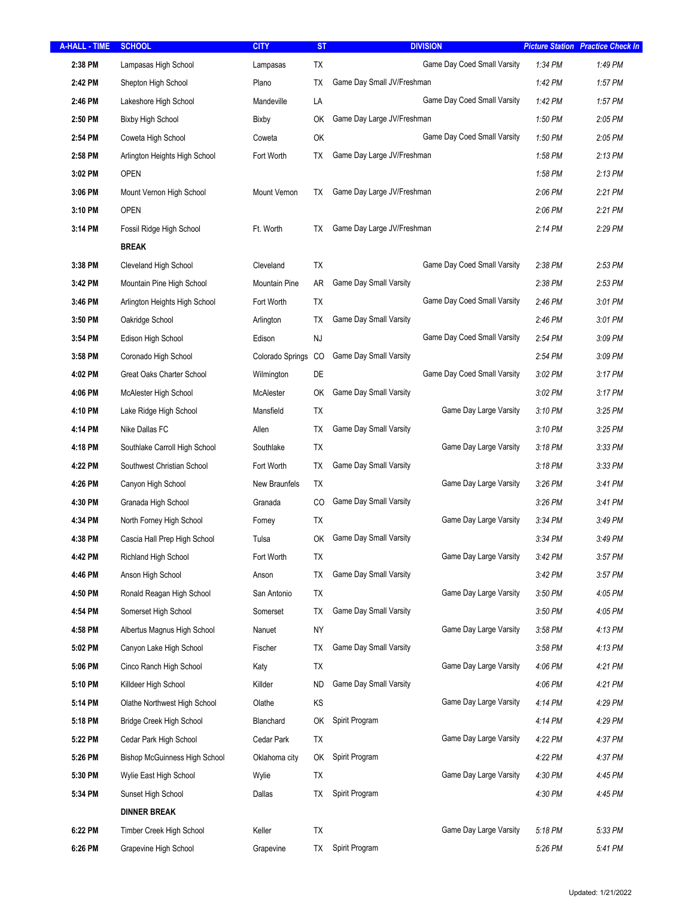| <b>A-HALL - TIME</b> | <b>SCHOOL</b>                        | <b>CITY</b>          | <b>ST</b> | <b>DIVISION</b>               | <b>Picture Station Practice Check In</b> |           |
|----------------------|--------------------------------------|----------------------|-----------|-------------------------------|------------------------------------------|-----------|
| 2:38 PM              | Lampasas High School                 | Lampasas             | TX        | Game Day Coed Small Varsity   | 1:34 PM                                  | 1:49 PM   |
| 2:42 PM              | Shepton High School                  | Plano                | ТX        | Game Day Small JV/Freshman    | 1:42 PM                                  | 1:57 PM   |
| 2:46 PM              | Lakeshore High School                | Mandeville           | LA        | Game Day Coed Small Varsity   | 1:42 PM                                  | 1:57 PM   |
| 2:50 PM              | <b>Bixby High School</b>             | Bixby                | OK        | Game Day Large JV/Freshman    | 1:50 PM                                  | 2:05 PM   |
| 2:54 PM              | Coweta High School                   | Coweta               | OK        | Game Day Coed Small Varsity   | 1:50 PM                                  | $2:05$ PM |
| 2:58 PM              | Arlington Heights High School        | Fort Worth           | TX        | Game Day Large JV/Freshman    | 1:58 PM                                  | 2:13 PM   |
| 3:02 PM              | <b>OPEN</b>                          |                      |           |                               | 1:58 PM                                  | 2:13 PM   |
| 3:06 PM              | Mount Vernon High School             | Mount Vernon         | ТX        | Game Day Large JV/Freshman    | $2:06$ PM                                | 2:21 PM   |
| 3:10 PM              | <b>OPEN</b>                          |                      |           |                               | $2:06$ PM                                | 2:21 PM   |
| 3:14 PM              | Fossil Ridge High School             | Ft. Worth            | TХ        | Game Day Large JV/Freshman    | $2:14$ PM                                | 2:29 PM   |
|                      | <b>BREAK</b>                         |                      |           |                               |                                          |           |
| 3:38 PM              | Cleveland High School                | Cleveland            | TX        | Game Day Coed Small Varsity   | $2:38$ PM                                | 2:53 PM   |
| 3:42 PM              | Mountain Pine High School            | <b>Mountain Pine</b> | AR        | Game Day Small Varsity        | $2:38$ PM                                | 2:53 PM   |
| 3:46 PM              | Arlington Heights High School        | Fort Worth           | <b>TX</b> | Game Day Coed Small Varsity   | 2:46 PM                                  | 3:01 PM   |
| 3:50 PM              | Oakridge School                      | Arlington            | ТX        | Game Day Small Varsity        | 2:46 PM                                  | 3:01 PM   |
| 3:54 PM              | Edison High School                   | Edison               | NJ        | Game Day Coed Small Varsity   | 2:54 PM                                  | 3:09 PM   |
| 3:58 PM              | Coronado High School                 | Colorado Springs CO  |           | Game Day Small Varsity        | 2:54 PM                                  | 3:09 PM   |
| 4:02 PM              | Great Oaks Charter School            | Wilmington           | DE        | Game Day Coed Small Varsity   | $3:02$ PM                                | 3:17 PM   |
| 4:06 PM              | McAlester High School                | McAlester            | OK        | Game Day Small Varsity        | $3:02$ PM                                | 3:17 PM   |
| 4:10 PM              | Lake Ridge High School               | Mansfield            | TX        | Game Day Large Varsity        | $3:10$ PM                                | 3:25 PM   |
| 4:14 PM              | Nike Dallas FC                       | Allen                | ТX        | Game Day Small Varsity        | 3:10 PM                                  | 3:25 PM   |
| 4:18 PM              | Southlake Carroll High School        | Southlake            | TX        | Game Day Large Varsity        | $3:18$ PM                                | 3:33 PM   |
| 4:22 PM              | Southwest Christian School           | Fort Worth           | TX        | Game Day Small Varsity        | $3:18$ PM                                | 3:33 PM   |
| 4:26 PM              | Canyon High School                   | New Braunfels        | TX        | Game Day Large Varsity        | $3:26$ PM                                | 3:41 PM   |
| 4:30 PM              | Granada High School                  | Granada              | CO        | Game Day Small Varsity        | $3:26$ PM                                | 3:41 PM   |
| 4:34 PM              | North Forney High School             | Forney               | ТX        | Game Day Large Varsity        | 3:34 PM                                  | 3:49 PM   |
| 4:38 PM              | Cascia Hall Prep High School         | Tulsa                | OK        | Game Day Small Varsity        | 3:34 PM                                  | 3:49 PM   |
| 4:42 PM              | Richland High School                 | Fort Worth           | TX        | Game Day Large Varsity        | 3:42 PM                                  | 3:57 PM   |
| 4:46 PM              | Anson High School                    | Anson                | TX        | Game Day Small Varsity        | 3:42 PM                                  | 3:57 PM   |
| 4:50 PM              | Ronald Reagan High School            | San Antonio          | ТX        | Game Day Large Varsity        | 3:50 PM                                  | 4:05 PM   |
| 4:54 PM              | Somerset High School                 | Somerset             | ТX        | Game Day Small Varsity        | 3:50 PM                                  | 4:05 PM   |
| 4:58 PM              | Albertus Magnus High School          | Nanuet               | <b>NY</b> | Game Day Large Varsity        | 3:58 PM                                  | 4:13 PM   |
| 5:02 PM              | Canyon Lake High School              | Fischer              | ТX        | Game Day Small Varsity        | 3:58 PM                                  | 4:13 PM   |
| 5:06 PM              | Cinco Ranch High School              | Katy                 | TX        | Game Day Large Varsity        | 4:06 PM                                  | 4:21 PM   |
| 5:10 PM              | Killdeer High School                 | Killder              | ND        | <b>Game Day Small Varsity</b> | 4:06 PM                                  | 4:21 PM   |
| 5:14 PM              | Olathe Northwest High School         | Olathe               | KS        | Game Day Large Varsity        | 4:14 PM                                  | 4:29 PM   |
| 5:18 PM              | <b>Bridge Creek High School</b>      | Blanchard            | ОK        | Spirit Program                | 4:14 PM                                  | 4:29 PM   |
| 5:22 PM              | Cedar Park High School               | Cedar Park           | TX        | Game Day Large Varsity        | 4:22 PM                                  | 4:37 PM   |
| 5:26 PM              | <b>Bishop McGuinness High School</b> | Oklahoma city        | ОK        | Spirit Program                | 4:22 PM                                  | 4:37 PM   |
| 5:30 PM              | Wylie East High School               | Wylie                | TX        | Game Day Large Varsity        | 4:30 PM                                  | 4:45 PM   |
| 5:34 PM              | Sunset High School                   | Dallas               | ТX        | Spirit Program                | 4:30 PM                                  | 4:45 PM   |
|                      | <b>DINNER BREAK</b>                  |                      |           |                               |                                          |           |
| 6:22 PM              | Timber Creek High School             | Keller               | TX        | Game Day Large Varsity        | 5:18 PM                                  | 5:33 PM   |
| 6:26 PM              | Grapevine High School                | Grapevine            | ТX        | Spirit Program                | 5:26 PM                                  | 5:41 PM   |
|                      |                                      |                      |           |                               |                                          |           |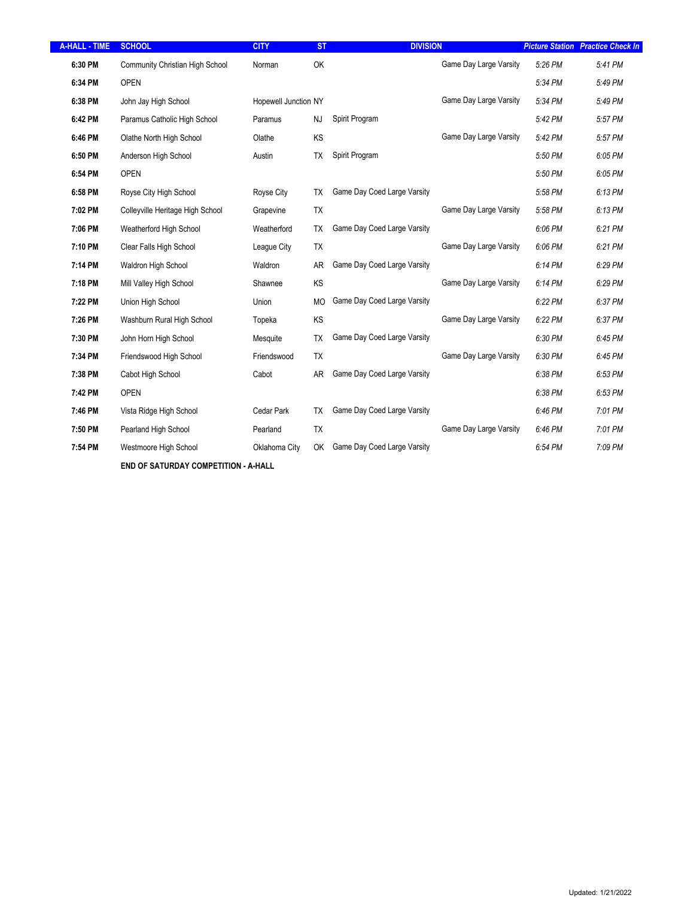| <b>A-HALL - TIME</b> | <b>SCHOOL</b>                    | <b>CITY</b>          | <b>ST</b> | <b>DIVISION</b>             |                        |         | <b>Picture Station Practice Check In</b> |
|----------------------|----------------------------------|----------------------|-----------|-----------------------------|------------------------|---------|------------------------------------------|
| 6:30 PM              | Community Christian High School  | Norman               | OK        |                             | Game Day Large Varsity | 5:26 PM | 5:41 PM                                  |
| 6:34 PM              | <b>OPEN</b>                      |                      |           |                             |                        | 5:34 PM | 5:49 PM                                  |
| 6:38 PM              | John Jay High School             | Hopewell Junction NY |           |                             | Game Day Large Varsity | 5:34 PM | 5:49 PM                                  |
| 6:42 PM              | Paramus Catholic High School     | Paramus              | <b>NJ</b> | Spirit Program              |                        | 5:42 PM | 5:57 PM                                  |
| 6:46 PM              | Olathe North High School         | Olathe               | KS        |                             | Game Day Large Varsity | 5:42 PM | 5:57 PM                                  |
| 6:50 PM              | Anderson High School             | Austin               | <b>TX</b> | Spirit Program              |                        | 5:50 PM | 6:05 PM                                  |
| 6:54 PM              | <b>OPEN</b>                      |                      |           |                             |                        | 5:50 PM | 6:05 PM                                  |
| 6:58 PM              | Royse City High School           | Royse City           | <b>TX</b> | Game Day Coed Large Varsity |                        | 5:58 PM | 6:13 PM                                  |
| 7:02 PM              | Colleyville Heritage High School | Grapevine            | <b>TX</b> |                             | Game Day Large Varsity | 5:58 PM | 6:13 PM                                  |
| 7:06 PM              | Weatherford High School          | Weatherford          | TX        | Game Day Coed Large Varsity |                        | 6:06 PM | 6:21 PM                                  |
| 7:10 PM              | Clear Falls High School          | League City          | <b>TX</b> |                             | Game Day Large Varsity | 6:06 PM | 6:21 PM                                  |
| 7:14 PM              | Waldron High School              | Waldron              | <b>AR</b> | Game Day Coed Large Varsity |                        | 6:14 PM | 6:29 PM                                  |
| 7:18 PM              | Mill Valley High School          | Shawnee              | KS        |                             | Game Day Large Varsity | 6:14 PM | 6:29 PM                                  |
| 7:22 PM              | Union High School                | Union                | <b>MO</b> | Game Day Coed Large Varsity |                        | 6:22 PM | 6:37 PM                                  |
| 7:26 PM              | Washburn Rural High School       | Topeka               | KS        |                             | Game Day Large Varsity | 6:22 PM | 6:37 PM                                  |
| 7:30 PM              | John Horn High School            | Mesquite             | <b>TX</b> | Game Day Coed Large Varsity |                        | 6:30 PM | 6:45 PM                                  |
| 7:34 PM              | Friendswood High School          | Friendswood          | <b>TX</b> |                             | Game Day Large Varsity | 6:30 PM | 6:45 PM                                  |
| 7:38 PM              | Cabot High School                | Cabot                | AR.       | Game Day Coed Large Varsity |                        | 6:38 PM | 6:53 PM                                  |
| 7:42 PM              | <b>OPEN</b>                      |                      |           |                             |                        | 6:38 PM | 6:53 PM                                  |
| 7:46 PM              | Vista Ridge High School          | Cedar Park           | ТX        | Game Day Coed Large Varsity |                        | 6:46 PM | 7:01 PM                                  |
| 7:50 PM              | Pearland High School             | Pearland             | <b>TX</b> |                             | Game Day Large Varsity | 6:46 PM | 7:01 PM                                  |
| 7:54 PM              | Westmoore High School            | Oklahoma City        | OK        | Game Day Coed Large Varsity |                        | 6:54 PM | 7:09 PM                                  |
|                      |                                  |                      |           |                             |                        |         |                                          |

 $F/ND$  OF SATURDAY COMPETITION - A-HALL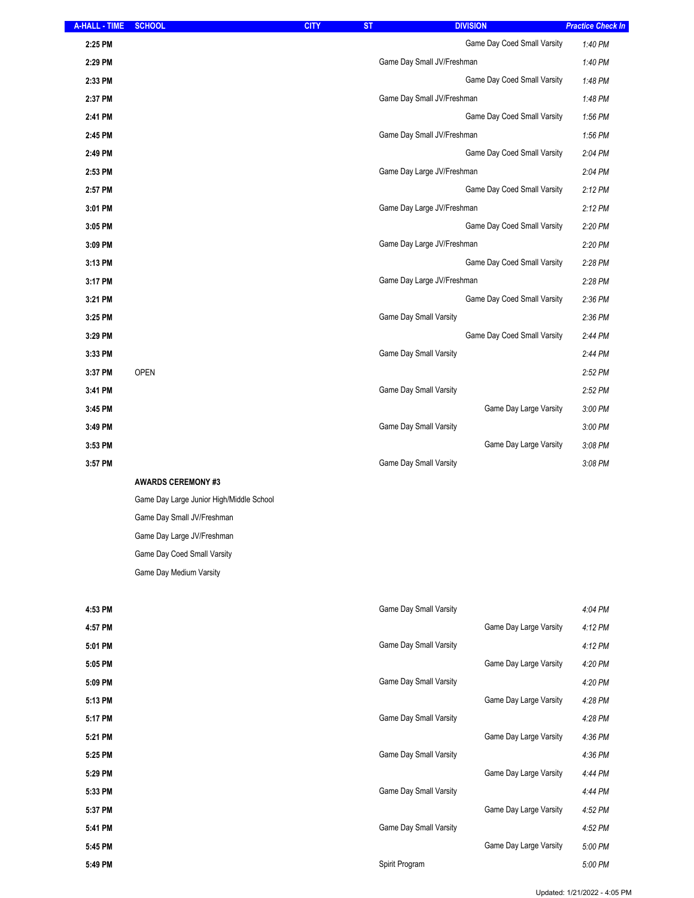| <b>A-HALL - TIME</b> | <b>SCHOOL</b>             | <b>CITY</b> | <b>ST</b>                     | <b>DIVISION</b>             | <b>Practice Check In</b> |
|----------------------|---------------------------|-------------|-------------------------------|-----------------------------|--------------------------|
| 2:25 PM              |                           |             |                               | Game Day Coed Small Varsity | 1:40 PM                  |
| 2:29 PM              |                           |             | Game Day Small JV/Freshman    |                             | 1:40 PM                  |
| 2:33 PM              |                           |             |                               | Game Day Coed Small Varsity | 1:48 PM                  |
| 2:37 PM              |                           |             | Game Day Small JV/Freshman    |                             | 1:48 PM                  |
| 2:41 PM              |                           |             |                               | Game Day Coed Small Varsity | 1:56 PM                  |
| 2:45 PM              |                           |             | Game Day Small JV/Freshman    |                             | 1:56 PM                  |
| 2:49 PM              |                           |             |                               | Game Day Coed Small Varsity | 2:04 PM                  |
| 2:53 PM              |                           |             | Game Day Large JV/Freshman    |                             | 2:04 PM                  |
| 2:57 PM              |                           |             |                               | Game Day Coed Small Varsity | $2:12$ PM                |
| 3:01 PM              |                           |             | Game Day Large JV/Freshman    |                             | $2:12$ PM                |
| 3:05 PM              |                           |             |                               | Game Day Coed Small Varsity | 2:20 PM                  |
| 3:09 PM              |                           |             | Game Day Large JV/Freshman    |                             | 2:20 PM                  |
| 3:13 PM              |                           |             |                               | Game Day Coed Small Varsity | 2:28 PM                  |
| 3:17 PM              |                           |             | Game Day Large JV/Freshman    |                             | 2:28 PM                  |
| 3:21 PM              |                           |             |                               | Game Day Coed Small Varsity | 2:36 PM                  |
| 3:25 PM              |                           |             | Game Day Small Varsity        |                             | 2:36 PM                  |
| 3:29 PM              |                           |             |                               | Game Day Coed Small Varsity | 2:44 PM                  |
| 3:33 PM              |                           |             | Game Day Small Varsity        |                             | 2:44 PM                  |
| 3:37 PM              | <b>OPEN</b>               |             |                               |                             | 2:52 PM                  |
| 3:41 PM              |                           |             | Game Day Small Varsity        |                             | 2:52 PM                  |
| 3:45 PM              |                           |             |                               | Game Day Large Varsity      | 3:00 PM                  |
| 3:49 PM              |                           |             | Game Day Small Varsity        |                             | 3:00 PM                  |
| 3:53 PM              |                           |             |                               | Game Day Large Varsity      | 3:08 PM                  |
| 3:57 PM              |                           |             | <b>Game Day Small Varsity</b> |                             | 3:08 PM                  |
|                      | <b>AWARDS CEREMONY #3</b> |             |                               |                             |                          |

 $45$  Game Day Large Junior High/Middle School Game Day Small JV/Freshman Game Day Large JV/Freshman Game Day Coed Small Varsity Game Day Medium Varsity

| <b>Game Day Small Varsity</b> |                        | 4:04 PM |
|-------------------------------|------------------------|---------|
|                               | Game Day Large Varsity | 4:12 PM |
| <b>Game Day Small Varsity</b> |                        | 4:12 PM |
|                               | Game Day Large Varsity | 4:20 PM |
| <b>Game Day Small Varsity</b> |                        | 4:20 PM |
|                               | Game Day Large Varsity | 4:28 PM |
| <b>Game Day Small Varsity</b> |                        | 4:28 PM |
|                               | Game Day Large Varsity | 4:36 PM |
| <b>Game Day Small Varsity</b> |                        | 4:36 PM |
|                               | Game Day Large Varsity | 4:44 PM |
| <b>Game Day Small Varsity</b> |                        | 4:44 PM |
|                               | Game Day Large Varsity | 4:52 PM |
| <b>Game Day Small Varsity</b> |                        | 4:52 PM |
|                               | Game Day Large Varsity | 5:00 PM |
| Spirit Program                |                        | 5:00 PM |
|                               |                        |         |